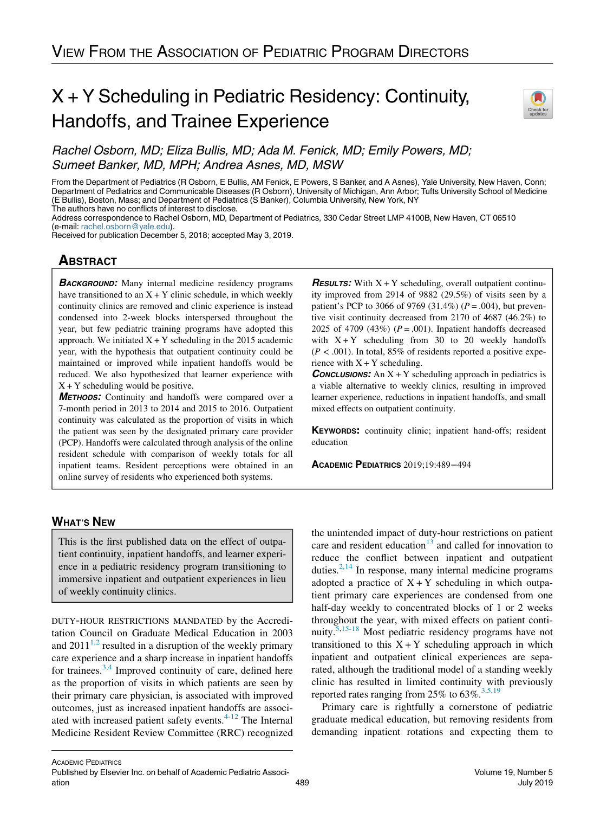## X + Y Scheduling in Pediatric Residency: Continuity, Handoffs, and Trainee Experience



Rachel Osborn, MD; Eliza Bullis, MD; Ada M. Fenick, MD; Emily Powers, MD; Sumeet Banker, MD, MPH; Andrea Asnes, MD, MSW

From the Department of Pediatrics (R Osborn, E Bullis, AM Fenick, E Powers, S Banker, and A Asnes), Yale University, New Haven, Conn; Department of Pediatrics and Communicable Diseases (R Osborn), University of Michigan, Ann Arbor; Tufts University School of Medicine (E Bullis), Boston, Mass; and Department of Pediatrics (S Banker), Columbia University, New York, NY The authors have no conflicts of interest to disclose.

Address correspondence to Rachel Osborn, MD, Department of Pediatrics, 330 Cedar Street LMP 4100B, New Haven, CT 06510 (e-mail: [rachel.osborn@yale.edu\)](mailto:rachel.osborn@yale.edu).

Received for publication December 5, 2018; accepted May 3, 2019.

# <u>ABSOLUTE</u>

**BACKGROUND:** Many internal medicine residency programs have transitioned to an  $X + Y$  clinic schedule, in which weekly continuity clinics are removed and clinic experience is instead condensed into 2-week blocks interspersed throughout the year, but few pediatric training programs have adopted this approach. We initiated  $X + Y$  scheduling in the 2015 academic year, with the hypothesis that outpatient continuity could be maintained or improved while inpatient handoffs would be reduced. We also hypothesized that learner experience with  $X + Y$  scheduling would be positive.

METHODS: Continuity and handoffs were compared over a 7-month period in 2013 to 2014 and 2015 to 2016. Outpatient continuity was calculated as the proportion of visits in which the patient was seen by the designated primary care provider (PCP). Handoffs were calculated through analysis of the online resident schedule with comparison of weekly totals for all inpatient teams. Resident perceptions were obtained in an online survey of residents who experienced both systems.

**RESULTS:** With  $X + Y$  scheduling, overall outpatient continuity improved from 2914 of 9882 (29.5%) of visits seen by a patient's PCP to 3066 of 9769 (31.4%) ( $P = .004$ ), but preventive visit continuity decreased from 2170 of 4687 (46.2%) to 2025 of 4709 (43%) ( $P = .001$ ). Inpatient handoffs decreased with  $X + Y$  scheduling from 30 to 20 weekly handoffs  $(P < .001)$ . In total, 85% of residents reported a positive experience with  $X + Y$  scheduling.

**CONCLUSIONS:** An  $X + Y$  scheduling approach in pediatrics is a viable alternative to weekly clinics, resulting in improved learner experience, reductions in inpatient handoffs, and small mixed effects on outpatient continuity.

KEYWORDS: continuity clinic; inpatient hand-offs; resident education

ACADEMIC PEDIATRICS 2019;19:489−<sup>494</sup>

## **WHAT'S NEW** WHAT'S NEWSFILM

This is the first published data on the effect of outpatient continuity, inpatient handoffs, and learner experience in a pediatric residency program transitioning to immersive inpatient and outpatient experiences in lieu of weekly continuity clinics.

DUTY-HOUR RESTRICTIONS MANDATED by the Accreditation Council on Graduate Medical Education in 2003 and  $2011^{1,2}$  $2011^{1,2}$  $2011^{1,2}$  resulted in a disruption of the weekly primary care experience and a sharp increase in inpatient handoffs for trainees.<sup>[3,4](#page-5-1)</sup> Improved continuity of care, defined here as the proportion of visits in which patients are seen by their primary care physician, is associated with improved outcomes, just as increased inpatient handoffs are associ-ated with increased patient safety events.<sup>[4-12](#page-5-2)</sup> The Internal Medicine Resident Review Committee (RRC) recognized

the unintended impact of duty-hour restrictions on patient care and resident education<sup>[13](#page-5-3)</sup> and called for innovation to reduce the conflict between inpatient and outpatient duties. $2,14$  In response, many internal medicine programs adopted a practice of  $X + Y$  scheduling in which outpatient primary care experiences are condensed from one half-day weekly to concentrated blocks of 1 or 2 weeks throughout the year, with mixed effects on patient conti-nuity.<sup>[5](#page-5-5)[,15-18](#page-5-6)</sup> Most pediatric residency programs have not transitioned to this  $X + Y$  scheduling approach in which inpatient and outpatient clinical experiences are separated, although the traditional model of a standing weekly clinic has resulted in limited continuity with previously reported rates ranging from 25% to  $63\%$ .<sup>[3,5,19](#page-5-1)</sup>

Primary care is rightfully a cornerstone of pediatric graduate medical education, but removing residents from demanding inpatient rotations and expecting them to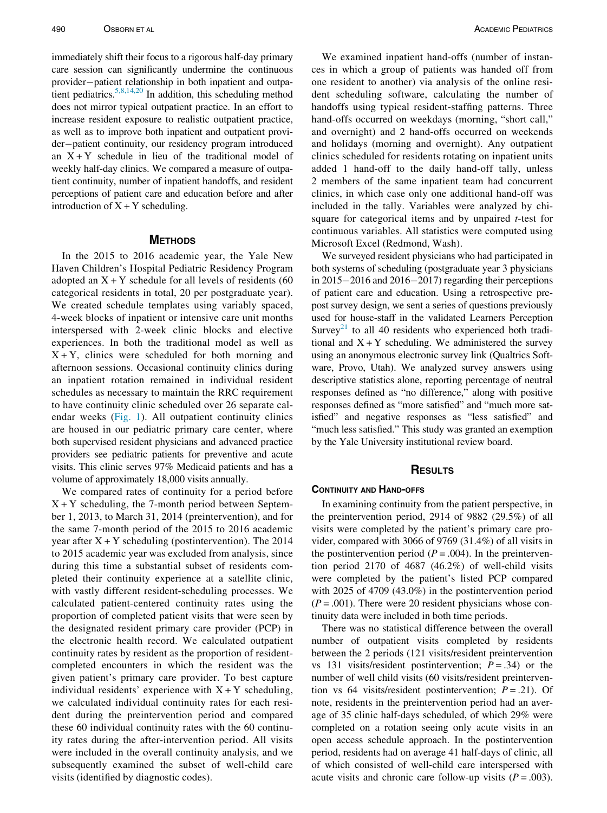immediately shift their focus to a rigorous half-day primary care session can significantly undermine the continuous provider-patient relationship in both inpatient and outpa-tient pediatrics.<sup>[5,8,14,20](#page-5-5)</sup> In addition, this scheduling method does not mirror typical outpatient practice. In an effort to increase resident exposure to realistic outpatient practice, as well as to improve both inpatient and outpatient provider-patient continuity, our residency program introduced an  $X + Y$  schedule in lieu of the traditional model of weekly half-day clinics. We compared a measure of outpatient continuity, number of inpatient handoffs, and resident perceptions of patient care and education before and after introduction of  $X + Y$  scheduling.

In the 2015 to 2016 academic year, the Yale New Haven Children's Hospital Pediatric Residency Program adopted an  $X + Y$  schedule for all levels of residents (60 categorical residents in total, 20 per postgraduate year). We created schedule templates using variably spaced, 4-week blocks of inpatient or intensive care unit months interspersed with 2-week clinic blocks and elective experiences. In both the traditional model as well as  $X + Y$ , clinics were scheduled for both morning and afternoon sessions. Occasional continuity clinics during an inpatient rotation remained in individual resident schedules as necessary to maintain the RRC requirement to have continuity clinic scheduled over 26 separate calendar weeks [\(Fig. 1](#page-2-0)). All outpatient continuity clinics are housed in our pediatric primary care center, where both supervised resident physicians and advanced practice providers see pediatric patients for preventive and acute visits. This clinic serves 97% Medicaid patients and has a volume of approximately 18,000 visits annually.

We compared rates of continuity for a period before  $X + Y$  scheduling, the 7-month period between September 1, 2013, to March 31, 2014 (preintervention), and for the same 7-month period of the 2015 to 2016 academic year after  $X + Y$  scheduling (postintervention). The 2014 to 2015 academic year was excluded from analysis, since during this time a substantial subset of residents completed their continuity experience at a satellite clinic, with vastly different resident-scheduling processes. We calculated patient-centered continuity rates using the proportion of completed patient visits that were seen by the designated resident primary care provider (PCP) in the electronic health record. We calculated outpatient continuity rates by resident as the proportion of residentcompleted encounters in which the resident was the given patient's primary care provider. To best capture individual residents' experience with  $X + Y$  scheduling, we calculated individual continuity rates for each resident during the preintervention period and compared these 60 individual continuity rates with the 60 continuity rates during the after-intervention period. All visits were included in the overall continuity analysis, and we subsequently examined the subset of well-child care visits (identified by diagnostic codes).

We examined inpatient hand-offs (number of instances in which a group of patients was handed off from one resident to another) via analysis of the online resident scheduling software, calculating the number of handoffs using typical resident-staffing patterns. Three hand-offs occurred on weekdays (morning, "short call," and overnight) and 2 hand-offs occurred on weekends and holidays (morning and overnight). Any outpatient clinics scheduled for residents rotating on inpatient units added 1 hand-off to the daily hand-off tally, unless 2 members of the same inpatient team had concurrent clinics, in which case only one additional hand-off was included in the tally. Variables were analyzed by chisquare for categorical items and by unpaired  $t$ -test for continuous variables. All statistics were computed using Microsoft Excel (Redmond, Wash).

We surveyed resident physicians who had participated in both systems of scheduling (postgraduate year 3 physicians in  $2015-2016$  and  $2016-2017$ ) regarding their perceptions of patient care and education. Using a retrospective prepost survey design, we sent a series of questions previously used for house-staff in the validated Learners Perception Survey<sup>21</sup> to all 40 residents who experienced both traditional and  $X + Y$  scheduling. We administered the survey using an anonymous electronic survey link (Qualtrics Software, Provo, Utah). We analyzed survey answers using descriptive statistics alone, reporting percentage of neutral responses defined as "no difference," along with positive responses defined as "more satisfied" and "much more satisfied" and negative responses as "less satisfied" and "much less satisfied." This study was granted an exemption by the Yale University institutional review board.

### **RESULTS** RESULTS

In examining continuity from the patient perspective, in the preintervention period, 2914 of 9882 (29.5%) of all visits were completed by the patient's primary care provider, compared with 3066 of 9769 (31.4%) of all visits in the postintervention period ( $P = .004$ ). In the preintervention period 2170 of 4687 (46.2%) of well-child visits were completed by the patient's listed PCP compared with 2025 of 4709 (43.0%) in the postintervention period  $(P = .001)$ . There were 20 resident physicians whose continuity data were included in both time periods.

There was no statistical difference between the overall number of outpatient visits completed by residents between the 2 periods (121 visits/resident preintervention vs 131 visits/resident postintervention;  $P = .34$ ) or the number of well child visits (60 visits/resident preintervention vs 64 visits/resident postintervention;  $P = .21$ ). Of note, residents in the preintervention period had an average of 35 clinic half-days scheduled, of which 29% were completed on a rotation seeing only acute visits in an open access schedule approach. In the postintervention period, residents had on average 41 half-days of clinic, all of which consisted of well-child care interspersed with acute visits and chronic care follow-up visits  $(P = .003)$ .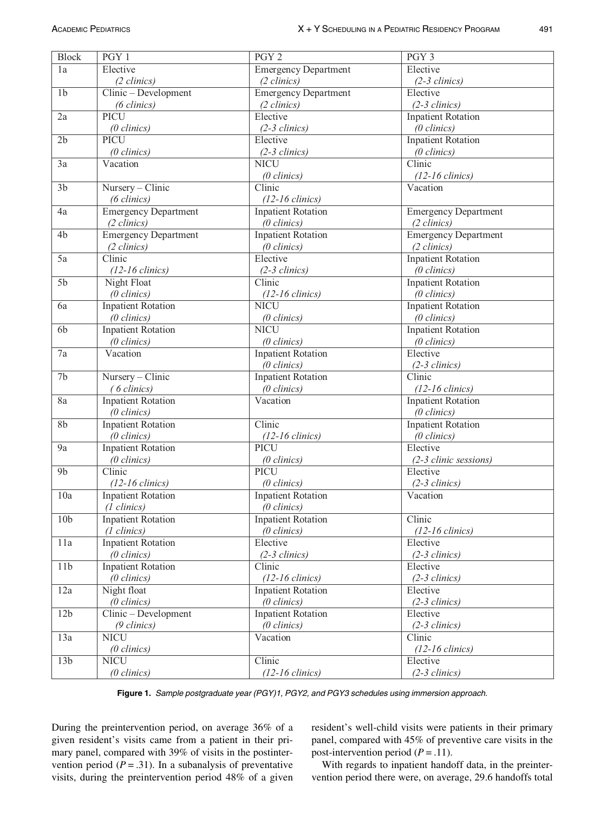<span id="page-2-0"></span>

| <b>Block</b>    | PGY 1                           | PGY <sub>2</sub>                                   | PGY 3                                              |
|-----------------|---------------------------------|----------------------------------------------------|----------------------------------------------------|
| 1a              | Elective                        | <b>Emergency Department</b>                        | Elective                                           |
|                 | $(2 \, clinics)$                | $(2 \, clinics)$                                   | $(2-3 \, \text{clinics})$                          |
| 1 <sub>b</sub>  | Clinic - Development            | <b>Emergency Department</b>                        | Elective                                           |
|                 | $(6 \, clinics)$                | $(2 \, \text{clinics})$                            | $(2-3 \, \text{clinics})$                          |
| 2a              | PICU                            | Elective                                           | <b>Inpatient Rotation</b>                          |
|                 | $(0 \text{ clinics})$           | $(2-3 \, \text{clinics})$                          | $(0 \, \text{clinics})$                            |
| 2 <sub>b</sub>  | PICU                            | Elective                                           | <b>Inpatient Rotation</b>                          |
|                 | $(0 \, \text{clinics})$         | $(2-3 \text{ clinics})$                            | $(0 \text{ clinics})$                              |
| 3a              | Vacation                        | <b>NICU</b>                                        | Clinic                                             |
|                 |                                 | $(0 \text{ clinics})$                              | $(12-16 \text{ clinics})$                          |
| 3 <sub>b</sub>  | Nursery - Clinic                | Clinic                                             | Vacation                                           |
|                 | $(6 \, clinics)$                | $(12-16 \text{ clinics})$                          |                                                    |
| 4a              | <b>Emergency Department</b>     | <b>Inpatient Rotation</b>                          | <b>Emergency Department</b>                        |
|                 | $(2 \, clinics)$                | $(0 \text{ clinics})$                              | $(2 \, clinics)$                                   |
| 4b              | <b>Emergency Department</b>     | <b>Inpatient Rotation</b>                          | <b>Emergency Department</b>                        |
|                 | $(2 \, clinics)$                | $(0 \text{ clinics})$                              | $(2 \, clinics)$                                   |
| 5a              | Clinic                          | Elective                                           | <b>Inpatient Rotation</b>                          |
|                 | $(12-16 \text{ clinics})$       | $(2-3 \, clinics)$                                 | $(0 \text{ clinics})$                              |
| 5 <sub>b</sub>  | Night Float                     | $\overline{\text{Clinic}}$                         | <b>Inpatient Rotation</b>                          |
|                 | $(0 \text{ }clinics)$           | $(12-16 \text{ clinics})$                          | $(0 \text{ clinics})$                              |
| 6a              | <b>Inpatient Rotation</b>       | <b>NICU</b>                                        | <b>Inpatient Rotation</b>                          |
|                 | $(0 \text{ }clinics)$           |                                                    | $(0 \text{ }clinics)$                              |
| 6b              | <b>Inpatient Rotation</b>       | $(0 \text{ clinics})$<br><b>NICU</b>               | <b>Inpatient Rotation</b>                          |
|                 | $(0 \text{ clinics})$           | $(0 \text{ clinics})$                              | $(0 \, \text{clinics})$                            |
|                 | Vacation                        |                                                    | Elective                                           |
| 7a              |                                 | <b>Inpatient Rotation</b>                          |                                                    |
| 7b              |                                 | $(0 \text{ clinics})$<br><b>Inpatient Rotation</b> | $(2-3 \, \text{clinics})$<br>Clinic                |
|                 | Nursery - Clinic<br>(6 clinics) |                                                    |                                                    |
|                 |                                 | $(0 \text{ clinics})$                              | $(12-16 \text{ clinics})$                          |
| 8a              | <b>Inpatient Rotation</b>       | Vacation                                           | <b>Inpatient Rotation</b>                          |
| 8 <sub>b</sub>  | $(0 \text{ clinics})$           | Clinic                                             | $(0 \text{ clinics})$<br><b>Inpatient Rotation</b> |
|                 | <b>Inpatient Rotation</b>       |                                                    |                                                    |
|                 | $(0 \text{ clinics})$           | $(12-16 \text{ chnicos})$<br>PICU                  | $(0 \text{ clinics})$                              |
| 9a              | <b>Inpatient Rotation</b>       |                                                    | Elective                                           |
|                 | $(0 \text{ clinics})$           | $(0 \text{ clinics})$                              | (2-3 clinic sessions)                              |
| 9 <sub>b</sub>  | Clinic                          | PICU                                               | Elective                                           |
|                 | $(12-16 \text{ clinics})$       | $(0 \text{ clinics})$                              | $(2-3 \, \text{clinics})$                          |
| 10a             | <b>Inpatient Rotation</b>       | <b>Inpatient Rotation</b>                          | Vacation                                           |
|                 | $(1 \text{ clinics})$           | $(0 \, \text{clinics})$                            |                                                    |
| 10 <sub>b</sub> | <b>Inpatient Rotation</b>       | <b>Inpatient Rotation</b>                          | Clinic                                             |
|                 | $(1 \text{ clinics})$           | $(0 \text{ clinics})$                              | $(12-16 \text{ clinics})$                          |
| 11a             | <b>Inpatient Rotation</b>       | Elective                                           | Elective                                           |
|                 | $(0 \text{ clinics})$           | $(2-3 \, clinics)$                                 | $(2-3 \, \text{clinics})$                          |
| 11b             | <b>Inpatient Rotation</b>       | Clinic                                             | Elective                                           |
|                 | $(0 \text{ clinics})$           | $(12-16 \text{ clinics})$                          | $(2-3 \, \text{clinics})$                          |
| 12a             | Night float                     | <b>Inpatient Rotation</b>                          | Elective                                           |
|                 | $(0 \text{ clinics})$           | $(0 \text{ clinics})$                              | $(2-3 \, \text{clinics})$                          |
| 12 <sub>b</sub> | Clinic - Development            | <b>Inpatient Rotation</b>                          | Elective                                           |
|                 | $(9 \, clinics)$                | $(0 \, \text{clinics})$                            | $(2-3 \, \text{clinics})$                          |
| 13a             | <b>NICU</b>                     | Vacation                                           | Clinic                                             |
|                 | $(0 \text{ clinics})$           |                                                    | $(12-16 \text{ clinics})$                          |
| 13 <sub>b</sub> | <b>NICU</b>                     | Clinic                                             | Elective                                           |
|                 | $(0 \text{ clinics})$           | $(12-16 \text{ clinics})$                          | $(2-3 \, \text{clinics})$                          |

Figure 1. Sample postgraduate year (PGY)1, PGY2, and PGY3 schedules using immersion approach.

During the preintervention period, on average 36% of a given resident's visits came from a patient in their primary panel, compared with 39% of visits in the postintervention period ( $P = .31$ ). In a subanalysis of preventative visits, during the preintervention period 48% of a given

resident's well-child visits were patients in their primary panel, compared with 45% of preventive care visits in the post-intervention period  $(P = .11)$ .

With regards to inpatient handoff data, in the preintervention period there were, on average, 29.6 handoffs total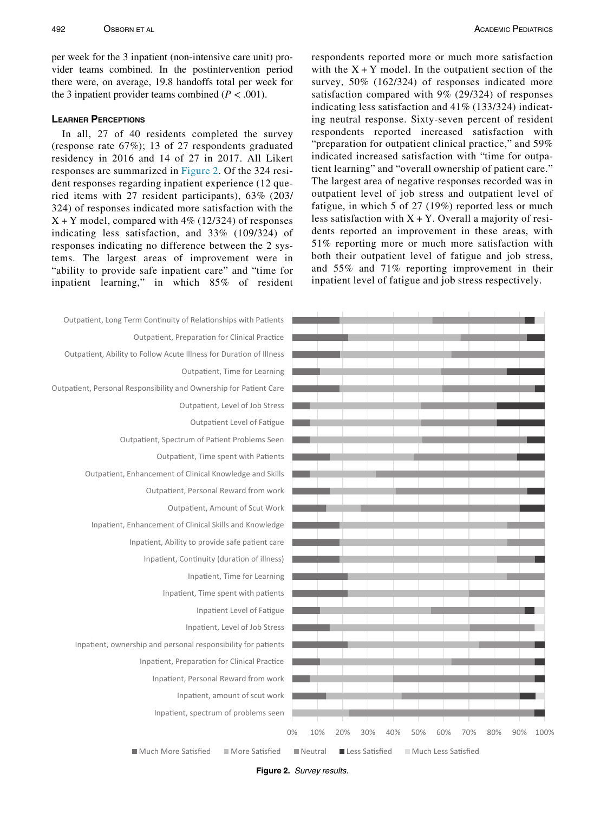per week for the 3 inpatient (non-intensive care unit) provider teams combined. In the postintervention period there were, on average, 19.8 handoffs total per week for the 3 inpatient provider teams combined ( $P < .001$ ).

In all, 27 of 40 residents completed the survey (response rate 67%); 13 of 27 respondents graduated residency in 2016 and 14 of 27 in 2017. All Likert responses are summarized in [Figure 2.](#page-3-0) Of the 324 resident responses regarding inpatient experience (12 queried items with 27 resident participants), 63% (203/ 324) of responses indicated more satisfaction with the  $X + Y$  model, compared with 4% (12/324) of responses indicating less satisfaction, and 33% (109/324) of responses indicating no difference between the 2 systems. The largest areas of improvement were in "ability to provide safe inpatient care" and "time for inpatient learning," in which 85% of resident

respondents reported more or much more satisfaction with the  $X + Y$  model. In the outpatient section of the survey, 50% (162/324) of responses indicated more satisfaction compared with 9% (29/324) of responses indicating less satisfaction and 41% (133/324) indicating neutral response. Sixty-seven percent of resident respondents reported increased satisfaction with "preparation for outpatient clinical practice," and 59% indicated increased satisfaction with "time for outpatient learning" and "overall ownership of patient care." The largest area of negative responses recorded was in outpatient level of job stress and outpatient level of fatigue, in which 5 of 27 (19%) reported less or much less satisfaction with  $X + Y$ . Overall a majority of residents reported an improvement in these areas, with 51% reporting more or much more satisfaction with both their outpatient level of fatigue and job stress, and 55% and 71% reporting improvement in their inpatient level of fatigue and job stress respectively.

<span id="page-3-0"></span>

| Outpatient, Long Term Continuity of Relationships with Patients     |                  |     |                         |     |                     |     |     |
|---------------------------------------------------------------------|------------------|-----|-------------------------|-----|---------------------|-----|-----|
| Outpatient, Preparation for Clinical Practice                       |                  |     |                         |     |                     |     |     |
| Outpatient, Ability to Follow Acute Illness for Duration of Illness |                  |     |                         |     |                     |     |     |
| Outpatient, Time for Learning                                       |                  |     |                         |     |                     |     |     |
| Outpatient, Personal Responsibility and Ownership for Patient Care  |                  |     |                         |     |                     |     |     |
| Outpatient, Level of Job Stress                                     |                  |     |                         |     |                     |     |     |
| Outpatient Level of Fatigue                                         |                  |     |                         |     |                     |     |     |
| Outpatient, Spectrum of Patient Problems Seen                       |                  |     |                         |     |                     |     |     |
| Outpatient, Time spent with Patients                                |                  |     |                         |     |                     |     |     |
| Outpatient, Enhancement of Clinical Knowledge and Skills            |                  |     |                         |     |                     |     |     |
| Outpatient, Personal Reward from work                               |                  |     |                         |     |                     |     |     |
| Outpatient, Amount of Scut Work                                     |                  |     |                         |     |                     |     |     |
| Inpatient, Enhancement of Clinical Skills and Knowledge             |                  |     |                         |     |                     |     |     |
| Inpatient, Ability to provide safe patient care                     |                  |     |                         |     |                     |     |     |
| Inpatient, Continuity (duration of illness)                         |                  |     |                         |     |                     |     |     |
| Inpatient, Time for Learning                                        |                  |     |                         |     |                     |     |     |
| Inpatient, Time spent with patients                                 |                  |     |                         |     |                     |     |     |
| Inpatient Level of Fatigue                                          |                  |     |                         |     |                     |     |     |
| Inpatient, Level of Job Stress                                      |                  |     |                         |     |                     |     |     |
| Inpatient, ownership and personal responsibility for patients       |                  |     |                         |     |                     |     |     |
| Inpatient, Preparation for Clinical Practice                        |                  |     |                         |     |                     |     |     |
| Inpatient, Personal Reward from work                                |                  |     |                         |     |                     |     |     |
| Inpatient, amount of scut work                                      |                  |     |                         |     |                     |     |     |
| Inpatient, spectrum of problems seen                                |                  |     |                         |     |                     |     |     |
|                                                                     | 0%<br>10%        | 20% | 30%                     | 40% | 50%                 | 60% | 70% |
| ■ Much More Satisfied<br>■ More Satisfied                           | <b>■</b> Neutral |     | <b>■ Less Satisfied</b> |     | Much Less Satisfied |     |     |



Figure 2. Survey results.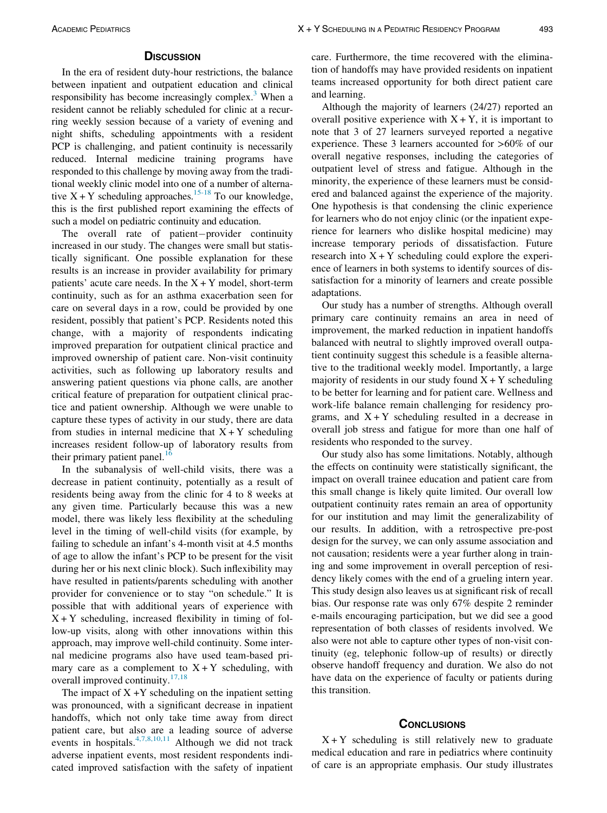In the era of resident duty-hour restrictions, the balance between inpatient and outpatient education and clinical responsibility has become increasingly complex.<sup>3</sup> When a resident cannot be reliably scheduled for clinic at a recurring weekly session because of a variety of evening and night shifts, scheduling appointments with a resident PCP is challenging, and patient continuity is necessarily reduced. Internal medicine training programs have responded to this challenge by moving away from the traditional weekly clinic model into one of a number of alternative  $X + Y$  scheduling approaches.<sup>15-18</sup> To our knowledge, this is the first published report examining the effects of such a model on pediatric continuity and education.

The overall rate of patient-provider continuity increased in our study. The changes were small but statistically significant. One possible explanation for these results is an increase in provider availability for primary patients' acute care needs. In the  $X + Y$  model, short-term continuity, such as for an asthma exacerbation seen for care on several days in a row, could be provided by one resident, possibly that patient's PCP. Residents noted this change, with a majority of respondents indicating improved preparation for outpatient clinical practice and improved ownership of patient care. Non-visit continuity activities, such as following up laboratory results and answering patient questions via phone calls, are another critical feature of preparation for outpatient clinical practice and patient ownership. Although we were unable to capture these types of activity in our study, there are data from studies in internal medicine that  $X + Y$  scheduling increases resident follow-up of laboratory results from their primary patient panel. $16$ 

In the subanalysis of well-child visits, there was a decrease in patient continuity, potentially as a result of residents being away from the clinic for 4 to 8 weeks at any given time. Particularly because this was a new model, there was likely less flexibility at the scheduling level in the timing of well-child visits (for example, by failing to schedule an infant's 4-month visit at 4.5 months of age to allow the infant's PCP to be present for the visit during her or his next clinic block). Such inflexibility may have resulted in patients/parents scheduling with another provider for convenience or to stay "on schedule." It is possible that with additional years of experience with  $X + Y$  scheduling, increased flexibility in timing of follow-up visits, along with other innovations within this approach, may improve well-child continuity. Some internal medicine programs also have used team-based primary care as a complement to  $X + Y$  scheduling, with overall improved continuity. $17,18$ 

The impact of  $X + Y$  scheduling on the inpatient setting was pronounced, with a significant decrease in inpatient handoffs, which not only take time away from direct patient care, but also are a leading source of adverse events in hospitals.  $4,7,8,10,11$  Although we did not track adverse inpatient events, most resident respondents indicated improved satisfaction with the safety of inpatient

care. Furthermore, the time recovered with the elimination of handoffs may have provided residents on inpatient teams increased opportunity for both direct patient care and learning.

Although the majority of learners (24/27) reported an overall positive experience with  $X + Y$ , it is important to note that 3 of 27 learners surveyed reported a negative experience. These 3 learners accounted for >60% of our overall negative responses, including the categories of outpatient level of stress and fatigue. Although in the minority, the experience of these learners must be considered and balanced against the experience of the majority. One hypothesis is that condensing the clinic experience for learners who do not enjoy clinic (or the inpatient experience for learners who dislike hospital medicine) may increase temporary periods of dissatisfaction. Future research into  $X + Y$  scheduling could explore the experience of learners in both systems to identify sources of dissatisfaction for a minority of learners and create possible adaptations.

Our study has a number of strengths. Although overall primary care continuity remains an area in need of improvement, the marked reduction in inpatient handoffs balanced with neutral to slightly improved overall outpatient continuity suggest this schedule is a feasible alternative to the traditional weekly model. Importantly, a large majority of residents in our study found  $X + Y$  scheduling to be better for learning and for patient care. Wellness and work-life balance remain challenging for residency programs, and  $X + Y$  scheduling resulted in a decrease in overall job stress and fatigue for more than one half of residents who responded to the survey.

Our study also has some limitations. Notably, although the effects on continuity were statistically significant, the impact on overall trainee education and patient care from this small change is likely quite limited. Our overall low outpatient continuity rates remain an area of opportunity for our institution and may limit the generalizability of our results. In addition, with a retrospective pre-post design for the survey, we can only assume association and not causation; residents were a year further along in training and some improvement in overall perception of residency likely comes with the end of a grueling intern year. This study design also leaves us at significant risk of recall bias. Our response rate was only 67% despite 2 reminder e-mails encouraging participation, but we did see a good representation of both classes of residents involved. We also were not able to capture other types of non-visit continuity (eg, telephonic follow-up of results) or directly observe handoff frequency and duration. We also do not have data on the experience of faculty or patients during this transition.

 $X + Y$  scheduling is still relatively new to graduate medical education and rare in pediatrics where continuity of care is an appropriate emphasis. Our study illustrates